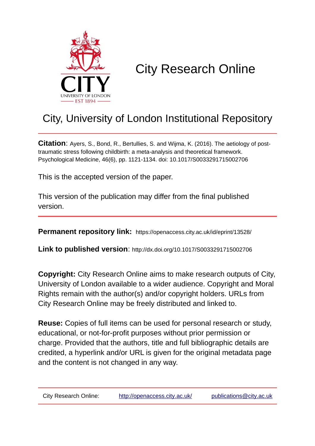

# City Research Online

## City, University of London Institutional Repository

**Citation**: Ayers, S., Bond, R., Bertullies, S. and Wijma, K. (2016). The aetiology of posttraumatic stress following childbirth: a meta-analysis and theoretical framework. Psychological Medicine, 46(6), pp. 1121-1134. doi: 10.1017/S0033291715002706

This is the accepted version of the paper.

This version of the publication may differ from the final published version.

**Permanent repository link:** https://openaccess.city.ac.uk/id/eprint/13528/

**Link to published version**: http://dx.doi.org/10.1017/S0033291715002706

**Copyright:** City Research Online aims to make research outputs of City, University of London available to a wider audience. Copyright and Moral Rights remain with the author(s) and/or copyright holders. URLs from City Research Online may be freely distributed and linked to.

**Reuse:** Copies of full items can be used for personal research or study, educational, or not-for-profit purposes without prior permission or charge. Provided that the authors, title and full bibliographic details are credited, a hyperlink and/or URL is given for the original metadata page and the content is not changed in any way.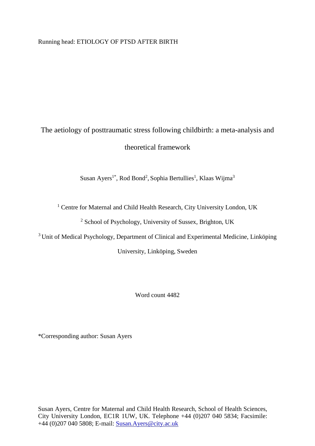Running head: ETIOLOGY OF PTSD AFTER BIRTH

## The aetiology of posttraumatic stress following childbirth: a meta-analysis and theoretical framework

Susan Ayers<sup>1\*</sup>, Rod Bond<sup>2</sup>, Sophia Bertullies<sup>1</sup>, Klaas Wijma<sup>3</sup>

<sup>1</sup> Centre for Maternal and Child Health Research, City University London, UK

<sup>2</sup> School of Psychology, University of Sussex, Brighton, UK

<sup>3</sup> Unit of Medical Psychology, Department of Clinical and Experimental Medicine, Linköping

University, Linköping, Sweden

Word count 4482

\*Corresponding author: Susan Ayers

Susan Ayers, Centre for Maternal and Child Health Research, School of Health Sciences, City University London, EC1R 1UW, UK. Telephone +44 (0)207 040 5834; Facsimile: +44 (0)207 040 5808; E-mail: [Susan.Ayers@city.ac.uk](mailto:Susan.Ayers@city.ac.uk)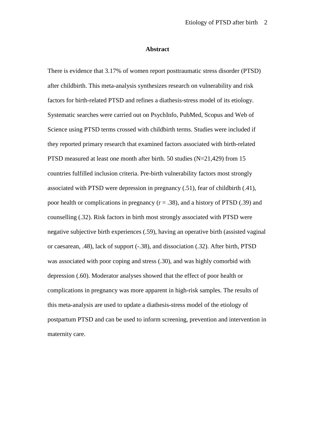## **Abstract**

There is evidence that 3.17% of women report posttraumatic stress disorder (PTSD) after childbirth. This meta-analysis synthesizes research on vulnerability and risk factors for birth-related PTSD and refines a diathesis-stress model of its etiology. Systematic searches were carried out on PsychInfo, PubMed, Scopus and Web of Science using PTSD terms crossed with childbirth terms. Studies were included if they reported primary research that examined factors associated with birth-related PTSD measured at least one month after birth. 50 studies (N=21,429) from 15 countries fulfilled inclusion criteria. Pre-birth vulnerability factors most strongly associated with PTSD were depression in pregnancy (.51), fear of childbirth (.41), poor health or complications in pregnancy  $(r = .38)$ , and a history of PTSD (.39) and counselling (.32). Risk factors in birth most strongly associated with PTSD were negative subjective birth experiences (.59), having an operative birth (assisted vaginal or caesarean, .48), lack of support (-.38), and dissociation (.32). After birth, PTSD was associated with poor coping and stress (.30), and was highly comorbid with depression (.60). Moderator analyses showed that the effect of poor health or complications in pregnancy was more apparent in high-risk samples. The results of this meta-analysis are used to update a diathesis-stress model of the etiology of postpartum PTSD and can be used to inform screening, prevention and intervention in maternity care.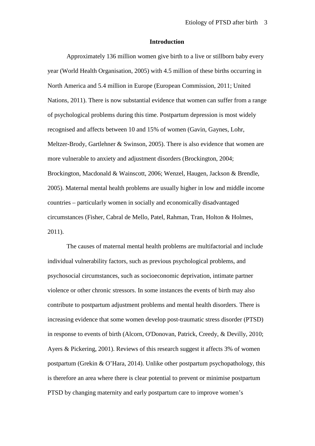#### **Introduction**

Approximately 136 million women give birth to a live or stillborn baby every year (World Health Organisation, 2005) with 4.5 million of these births occurring in North America and 5.4 million in Europe (European Commission, 2011; United Nations, 2011). There is now substantial evidence that women can suffer from a range of psychological problems during this time. Postpartum depression is most widely recognised and affects between 10 and 15% of women (Gavin, Gaynes, Lohr, Meltzer-Brody, Gartlehner & Swinson, 2005). There is also evidence that women are more vulnerable to anxiety and adjustment disorders (Brockington, 2004; Brockington, Macdonald & Wainscott, 2006; Wenzel, Haugen, Jackson & Brendle, 2005). Maternal mental health problems are usually higher in low and middle income countries – particularly women in socially and economically disadvantaged circumstances (Fisher, Cabral de Mello, Patel, Rahman, Tran, Holton & Holmes, 2011).

The causes of maternal mental health problems are multifactorial and include individual vulnerability factors, such as previous psychological problems, and psychosocial circumstances, such as socioeconomic deprivation, intimate partner violence or other chronic stressors. In some instances the events of birth may also contribute to postpartum adjustment problems and mental health disorders. There is increasing evidence that some women develop post-traumatic stress disorder (PTSD) in response to events of birth (Alcorn, O'Donovan, Patrick, Creedy, & Devilly, 2010; Ayers & Pickering, 2001). Reviews of this research suggest it affects 3% of women postpartum (Grekin & O'Hara, 2014). Unlike other postpartum psychopathology, this is therefore an area where there is clear potential to prevent or minimise postpartum PTSD by changing maternity and early postpartum care to improve women's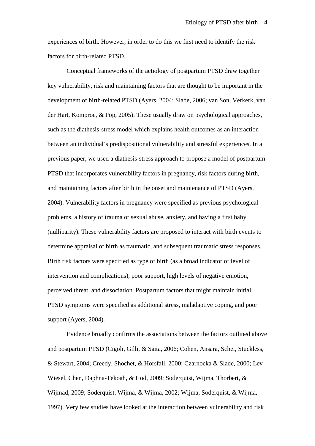experiences of birth. However, in order to do this we first need to identify the risk factors for birth-related PTSD.

Conceptual frameworks of the aetiology of postpartum PTSD draw together key vulnerability, risk and maintaining factors that are thought to be important in the development of birth-related PTSD (Ayers, 2004; Slade, 2006; van Son, Verkerk, van der Hart, Komproe, & Pop, 2005). These usually draw on psychological approaches, such as the diathesis-stress model which explains health outcomes as an interaction between an individual's predispositional vulnerability and stressful experiences. In a previous paper, we used a diathesis-stress approach to propose a model of postpartum PTSD that incorporates vulnerability factors in pregnancy, risk factors during birth, and maintaining factors after birth in the onset and maintenance of PTSD (Ayers, 2004). Vulnerability factors in pregnancy were specified as previous psychological problems, a history of trauma or sexual abuse, anxiety, and having a first baby (nulliparity). These vulnerability factors are proposed to interact with birth events to determine appraisal of birth as traumatic, and subsequent traumatic stress responses. Birth risk factors were specified as type of birth (as a broad indicator of level of intervention and complications), poor support, high levels of negative emotion, perceived threat, and dissociation. Postpartum factors that might maintain initial PTSD symptoms were specified as additional stress, maladaptive coping, and poor support (Ayers, 2004).

Evidence broadly confirms the associations between the factors outlined above and postpartum PTSD (Cigoli, Gilli, & Saita, 2006; Cohen, Ansara, Schei, Stuckless, & Stewart, 2004; Creedy, Shochet, & Horsfall, 2000; Czarnocka & Slade, 2000; Lev-Wiesel, Chen, Daphna-Tekoah, & Hod, 2009; Soderquist, Wijma, Thorbert, & Wijmad, 2009; Soderquist, Wijma, & Wijma, 2002; Wijma, Soderquist, & Wijma, 1997). Very few studies have looked at the interaction between vulnerability and risk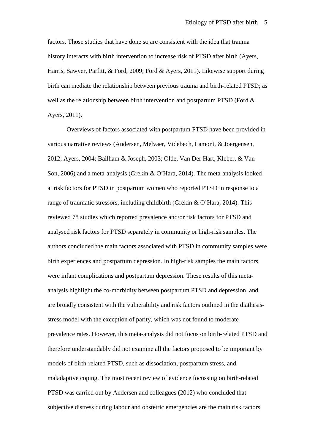factors. Those studies that have done so are consistent with the idea that trauma history interacts with birth intervention to increase risk of PTSD after birth (Ayers, Harris, Sawyer, Parfitt, & Ford, 2009; Ford & Ayers, 2011). Likewise support during birth can mediate the relationship between previous trauma and birth-related PTSD; as well as the relationship between birth intervention and postpartum PTSD (Ford & Ayers, 2011).

Overviews of factors associated with postpartum PTSD have been provided in various narrative reviews (Andersen, Melvaer, Videbech, Lamont, & Joergensen, 2012; Ayers, 2004; Bailham & Joseph, 2003; Olde, Van Der Hart, Kleber, & Van Son, 2006) and a meta-analysis (Grekin & O'Hara, 2014). The meta-analysis looked at risk factors for PTSD in postpartum women who reported PTSD in response to a range of traumatic stressors, including childbirth (Grekin & O'Hara, 2014). This reviewed 78 studies which reported prevalence and/or risk factors for PTSD and analysed risk factors for PTSD separately in community or high-risk samples. The authors concluded the main factors associated with PTSD in community samples were birth experiences and postpartum depression. In high-risk samples the main factors were infant complications and postpartum depression. These results of this metaanalysis highlight the co-morbidity between postpartum PTSD and depression, and are broadly consistent with the vulnerability and risk factors outlined in the diathesisstress model with the exception of parity, which was not found to moderate prevalence rates. However, this meta-analysis did not focus on birth-related PTSD and therefore understandably did not examine all the factors proposed to be important by models of birth-related PTSD, such as dissociation, postpartum stress, and maladaptive coping. The most recent review of evidence focussing on birth-related PTSD was carried out by Andersen and colleagues (2012) who concluded that subjective distress during labour and obstetric emergencies are the main risk factors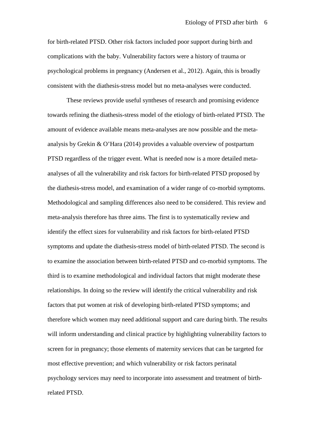for birth-related PTSD. Other risk factors included poor support during birth and complications with the baby. Vulnerability factors were a history of trauma or psychological problems in pregnancy (Andersen et al., 2012). Again, this is broadly consistent with the diathesis-stress model but no meta-analyses were conducted.

These reviews provide useful syntheses of research and promising evidence towards refining the diathesis-stress model of the etiology of birth-related PTSD. The amount of evidence available means meta-analyses are now possible and the metaanalysis by Grekin & O'Hara (2014) provides a valuable overview of postpartum PTSD regardless of the trigger event. What is needed now is a more detailed metaanalyses of all the vulnerability and risk factors for birth-related PTSD proposed by the diathesis-stress model, and examination of a wider range of co-morbid symptoms. Methodological and sampling differences also need to be considered. This review and meta-analysis therefore has three aims. The first is to systematically review and identify the effect sizes for vulnerability and risk factors for birth-related PTSD symptoms and update the diathesis-stress model of birth-related PTSD. The second is to examine the association between birth-related PTSD and co-morbid symptoms. The third is to examine methodological and individual factors that might moderate these relationships. In doing so the review will identify the critical vulnerability and risk factors that put women at risk of developing birth-related PTSD symptoms; and therefore which women may need additional support and care during birth. The results will inform understanding and clinical practice by highlighting vulnerability factors to screen for in pregnancy; those elements of maternity services that can be targeted for most effective prevention; and which vulnerability or risk factors perinatal psychology services may need to incorporate into assessment and treatment of birthrelated PTSD.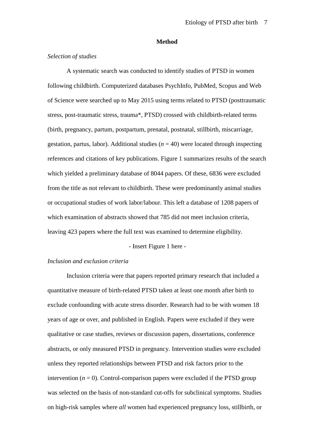#### **Method**

## *Selection of studies*

A systematic search was conducted to identify studies of PTSD in women following childbirth. Computerized databases PsychInfo, PubMed, Scopus and Web of Science were searched up to May 2015 using terms related to PTSD (posttraumatic stress, post-traumatic stress, trauma\*, PTSD) crossed with childbirth-related terms (birth, pregnancy, partum, postpartum, prenatal, postnatal, stillbirth, miscarriage, gestation, partus, labor). Additional studies  $(n = 40)$  were located through inspecting references and citations of key publications. Figure 1 summarizes results of the search which yielded a preliminary database of 8044 papers. Of these, 6836 were excluded from the title as not relevant to childbirth. These were predominantly animal studies or occupational studies of work labor/labour. This left a database of 1208 papers of which examination of abstracts showed that 785 did not meet inclusion criteria, leaving 423 papers where the full text was examined to determine eligibility.

- Insert Figure 1 here -

## *Inclusion and exclusion criteria*

Inclusion criteria were that papers reported primary research that included a quantitative measure of birth-related PTSD taken at least one month after birth to exclude confounding with acute stress disorder. Research had to be with women 18 years of age or over, and published in English. Papers were excluded if they were qualitative or case studies, reviews or discussion papers, dissertations, conference abstracts, or only measured PTSD in pregnancy. Intervention studies were excluded unless they reported relationships between PTSD and risk factors prior to the intervention  $(n = 0)$ . Control-comparison papers were excluded if the PTSD group was selected on the basis of non-standard cut-offs for subclinical symptoms. Studies on high-risk samples where *all* women had experienced pregnancy loss, stillbirth, or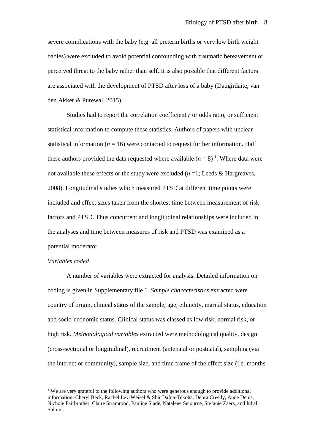severe complications with the baby (e.g. all preterm births or very low birth weight babies) were excluded to avoid potential confounding with traumatic bereavement or perceived threat to the baby rather than self. It is also possible that different factors are associated with the development of PTSD after loss of a baby (Daugirdaite, van den Akker & Purewal, 2015).

Studies had to report the correlation coefficient *r* or odds ratio, or sufficient statistical information to compute these statistics. Authors of papers with unclear statistical information ( $n = 16$ ) were contacted to request further information. Half these authors provided the data requested where available  $(n = 8)^{1}$  $(n = 8)^{1}$  $(n = 8)^{1}$ . Where data were not available these effects or the study were excluded  $(n=1;$  Leeds & Hargreaves, 2008). Longitudinal studies which measured PTSD at different time points were included and effect sizes taken from the shortest time between measurement of risk factors and PTSD. Thus concurrent and longitudinal relationships were included in the analyses and time between measures of risk and PTSD was examined as a potential moderator.

## *Variables coded*

A number of variables were extracted for analysis. Detailed information on coding is given in Supplementary file 1. *Sample characteristics* extracted were country of origin, clinical status of the sample, age, ethnicity, marital status, education and socio-economic status. Clinical status was classed as low risk, normal risk, or high risk. *Methodological variables* extracted were methodological quality, design (cross-sectional or longitudinal), recruitment (antenatal or postnatal), sampling (via the internet or community), sample size, and time frame of the effect size (i.e. months

<span id="page-8-0"></span><sup>&</sup>lt;sup>1</sup> We are very grateful to the following authors who were generous enough to provide additional information: Cheryl Beck, Rachel Lev-Weisel & Shir Dafna-Tekoha, Debra Creedy, Anne Denis, Nichole Fairbrother, Claire Stramrood, Pauline Slade, Natalene Sejourne, Stefanie Zaers, and Inbal Shlomi.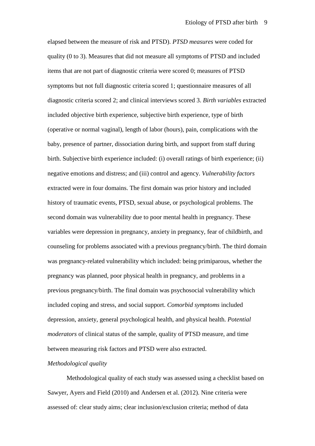elapsed between the measure of risk and PTSD). *PTSD measures* were coded for quality (0 to 3). Measures that did not measure all symptoms of PTSD and included items that are not part of diagnostic criteria were scored 0; measures of PTSD symptoms but not full diagnostic criteria scored 1; questionnaire measures of all diagnostic criteria scored 2; and clinical interviews scored 3. *Birth variables* extracted included objective birth experience, subjective birth experience, type of birth (operative or normal vaginal), length of labor (hours), pain, complications with the baby, presence of partner, dissociation during birth, and support from staff during birth. Subjective birth experience included: (i) overall ratings of birth experience; (ii) negative emotions and distress; and (iii) control and agency. *Vulnerability factors*  extracted were in four domains. The first domain was prior history and included history of traumatic events, PTSD, sexual abuse, or psychological problems. The second domain was vulnerability due to poor mental health in pregnancy. These variables were depression in pregnancy, anxiety in pregnancy, fear of childbirth, and counseling for problems associated with a previous pregnancy/birth. The third domain was pregnancy-related vulnerability which included: being primiparous, whether the pregnancy was planned, poor physical health in pregnancy, and problems in a previous pregnancy/birth. The final domain was psychosocial vulnerability which included coping and stress, and social support. *Comorbid symptoms* included depression, anxiety, general psychological health, and physical health. *Potential moderators* of clinical status of the sample, quality of PTSD measure, and time between measuring risk factors and PTSD were also extracted.

### *Methodological quality*

Methodological quality of each study was assessed using a checklist based on Sawyer, Ayers and Field (2010) and Andersen et al. (2012). Nine criteria were assessed of: clear study aims; clear inclusion/exclusion criteria; method of data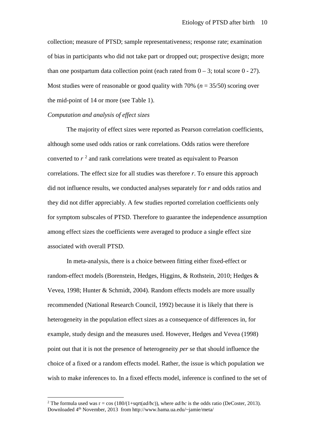collection; measure of PTSD; sample representativeness; response rate; examination of bias in participants who did not take part or dropped out; prospective design; more than one postpartum data collection point (each rated from  $0 - 3$ ; total score  $0 - 27$ ). Most studies were of reasonable or good quality with 70% (*n* = 35/50) scoring over the mid-point of 14 or more (see Table 1).

## *Computation and analysis of effect sizes*

The majority of effect sizes were reported as Pearson correlation coefficients, although some used odds ratios or rank correlations. Odds ratios were therefore converted to *r* [2](#page-10-0) and rank correlations were treated as equivalent to Pearson correlations. The effect size for all studies was therefore *r*. To ensure this approach did not influence results, we conducted analyses separately for *r* and odds ratios and they did not differ appreciably. A few studies reported correlation coefficients only for symptom subscales of PTSD. Therefore to guarantee the independence assumption among effect sizes the coefficients were averaged to produce a single effect size associated with overall PTSD.

In meta-analysis, there is a choice between fitting either fixed-effect or random-effect models (Borenstein, Hedges, Higgins, & Rothstein, 2010; Hedges & Vevea, 1998; Hunter & Schmidt, 2004). Random effects models are more usually recommended (National Research Council, 1992) because it is likely that there is heterogeneity in the population effect sizes as a consequence of differences in, for example, study design and the measures used. However, Hedges and Vevea (1998) point out that it is not the presence of heterogeneity *per* se that should influence the choice of a fixed or a random effects model. Rather, the issue is which population we wish to make inferences to. In a fixed effects model, inference is confined to the set of

<span id="page-10-0"></span><sup>&</sup>lt;sup>2</sup> The formula used was r = cos  $(180/(1+sart(ad/bc))$ , where *ad/bc* is the odds ratio (DeCoster, 2013). Downloaded 4th November, 2013 from http://www.bama.ua.edu/~jamie/meta/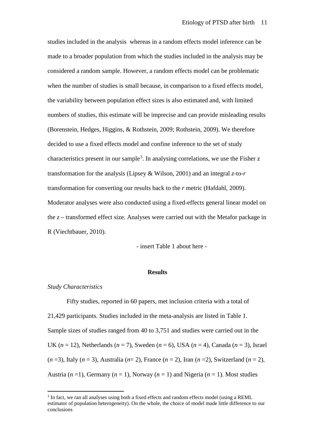studies included in the analysis whereas in a random effects model inference can be made to a broader population from which the studies included in the analysis may be considered a random sample. However, a random effects model can be problematic when the number of studies is small because, in comparison to a fixed effects model, the variability between population effect sizes is also estimated and, with limited numbers of studies, this estimate will be imprecise and can provide misleading results (Borenstein, Hedges, Higgins, & Rothstein, 2009; Rothstein, 2009). We therefore decided to use a fixed effects model and confine inference to the set of study characteristics present in our sample<sup>[3](#page-11-0)</sup>. In analysing correlations, we use the Fisher  $z$ transformation for the analysis (Lipsey & Wilson, 2001) and an integral *z*-to-*r* transformation for converting our results back to the *r* metric (Hafdahl, 2009). Moderator analyses were also conducted using a fixed-effects general linear model on the *z* – transformed effect size. Analyses were carried out with the Metafor package in R (Viechtbauer, 2010).

- insert Table 1 about here -

#### **Results**

## *Study Characteristics*

Fifty studies, reported in 60 papers, met inclusion criteria with a total of 21,429 participants. Studies included in the meta-analysis are listed in Table 1. Sample sizes of studies ranged from 40 to 3,751 and studies were carried out in the UK (*n* = 12), Netherlands (*n* = 7), Sweden (*n* = 6), USA (*n* = 4), Canada (*n* = 3), Israel (*n* =3), Italy (*n* = 3), Australia (*n*= 2), France (*n* = 2), Iran (*n* =2), Switzerland (*n* = 2), Austria  $(n=1)$ , Germany  $(n=1)$ , Norway  $(n=1)$  and Nigeria  $(n=1)$ . Most studies

<span id="page-11-0"></span><sup>&</sup>lt;sup>3</sup> In fact, we ran all analyses using both a fixed effects and random effects model (using a REML) estimator of population heterogeneity). On the whole, the choice of model made little difference to our conclusions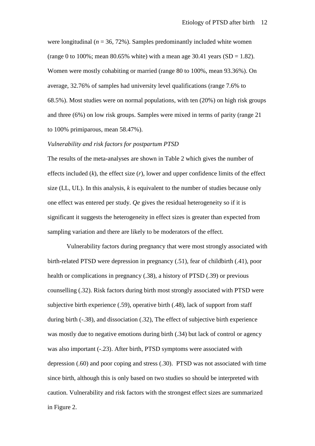were longitudinal  $(n = 36, 72\%)$ . Samples predominantly included white women (range 0 to 100%; mean 80.65% white) with a mean age 30.41 years (SD = 1.82). Women were mostly cohabiting or married (range 80 to 100%, mean 93.36%). On average, 32.76% of samples had university level qualifications (range 7.6% to 68.5%). Most studies were on normal populations, with ten (20%) on high risk groups and three (6%) on low risk groups. Samples were mixed in terms of parity (range 21 to 100% primiparous, mean 58.47%).

### *Vulnerability and risk factors for postpartum PTSD*

The results of the meta-analyses are shown in Table 2 which gives the number of effects included  $(k)$ , the effect size  $(r)$ , lower and upper confidence limits of the effect size (LL, UL). In this analysis, *k* is equivalent to the number of studies because only one effect was entered per study. *Qe* gives the residual heterogeneity so if it is significant it suggests the heterogeneity in effect sizes is greater than expected from sampling variation and there are likely to be moderators of the effect.

Vulnerability factors during pregnancy that were most strongly associated with birth-related PTSD were depression in pregnancy (.51), fear of childbirth (.41), poor health or complications in pregnancy (.38), a history of PTSD (.39) or previous counselling (.32). Risk factors during birth most strongly associated with PTSD were subjective birth experience (.59), operative birth (.48), lack of support from staff during birth (-.38), and dissociation (.32), The effect of subjective birth experience was mostly due to negative emotions during birth (.34) but lack of control or agency was also important (-.23). After birth, PTSD symptoms were associated with depression (.60) and poor coping and stress (.30). PTSD was not associated with time since birth, although this is only based on two studies so should be interpreted with caution. Vulnerability and risk factors with the strongest effect sizes are summarized in Figure 2.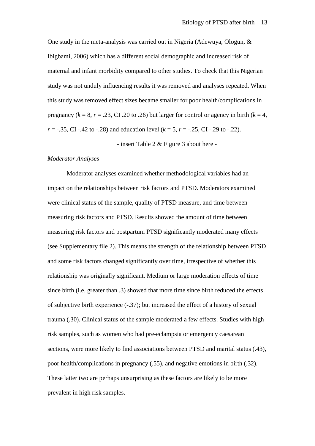One study in the meta-analysis was carried out in Nigeria (Adewuya, Ologun, & Ibigbami, 2006) which has a different social demographic and increased risk of maternal and infant morbidity compared to other studies. To check that this Nigerian study was not unduly influencing results it was removed and analyses repeated. When this study was removed effect sizes became smaller for poor health/complications in pregnancy ( $k = 8$ ,  $r = .23$ , CI .20 to .26) but larger for control or agency in birth ( $k = 4$ ,  $r = -.35$ , CI -.42 to -.28) and education level ( $k = 5$ ,  $r = -.25$ , CI -.29 to -.22).

- insert Table 2 & Figure 3 about here -

#### *Moderator Analyses*

Moderator analyses examined whether methodological variables had an impact on the relationships between risk factors and PTSD. Moderators examined were clinical status of the sample, quality of PTSD measure, and time between measuring risk factors and PTSD. Results showed the amount of time between measuring risk factors and postpartum PTSD significantly moderated many effects (see Supplementary file 2). This means the strength of the relationship between PTSD and some risk factors changed significantly over time, irrespective of whether this relationship was originally significant. Medium or large moderation effects of time since birth (i.e. greater than .3) showed that more time since birth reduced the effects of subjective birth experience (-.37); but increased the effect of a history of sexual trauma (.30). Clinical status of the sample moderated a few effects. Studies with high risk samples, such as women who had pre-eclampsia or emergency caesarean sections, were more likely to find associations between PTSD and marital status (.43), poor health/complications in pregnancy (.55), and negative emotions in birth (.32). These latter two are perhaps unsurprising as these factors are likely to be more prevalent in high risk samples.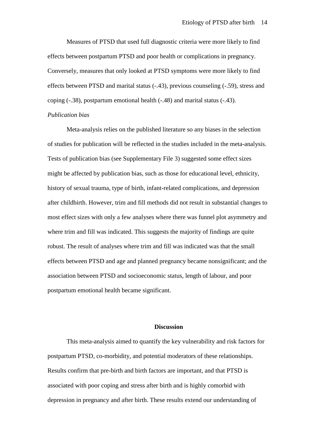Measures of PTSD that used full diagnostic criteria were more likely to find effects between postpartum PTSD and poor health or complications in pregnancy. Conversely, measures that only looked at PTSD symptoms were more likely to find effects between PTSD and marital status (-.43), previous counseling (-.59), stress and coping (-.38), postpartum emotional health (-.48) and marital status (-.43).

## *Publication bias*

Meta-analysis relies on the published literature so any biases in the selection of studies for publication will be reflected in the studies included in the meta-analysis. Tests of publication bias (see Supplementary File 3) suggested some effect sizes might be affected by publication bias, such as those for educational level, ethnicity, history of sexual trauma, type of birth, infant-related complications, and depression after childbirth. However, trim and fill methods did not result in substantial changes to most effect sizes with only a few analyses where there was funnel plot asymmetry and where trim and fill was indicated. This suggests the majority of findings are quite robust. The result of analyses where trim and fill was indicated was that the small effects between PTSD and age and planned pregnancy became nonsignificant; and the association between PTSD and socioeconomic status, length of labour, and poor postpartum emotional health became significant.

## **Discussion**

This meta-analysis aimed to quantify the key vulnerability and risk factors for postpartum PTSD, co-morbidity, and potential moderators of these relationships. Results confirm that pre-birth and birth factors are important, and that PTSD is associated with poor coping and stress after birth and is highly comorbid with depression in pregnancy and after birth. These results extend our understanding of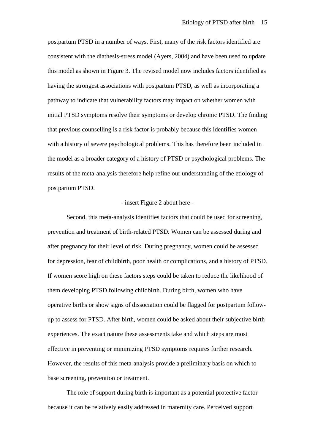postpartum PTSD in a number of ways. First, many of the risk factors identified are consistent with the diathesis-stress model (Ayers, 2004) and have been used to update this model as shown in Figure 3. The revised model now includes factors identified as having the strongest associations with postpartum PTSD, as well as incorporating a pathway to indicate that vulnerability factors may impact on whether women with initial PTSD symptoms resolve their symptoms or develop chronic PTSD. The finding that previous counselling is a risk factor is probably because this identifies women with a history of severe psychological problems. This has therefore been included in the model as a broader category of a history of PTSD or psychological problems. The results of the meta-analysis therefore help refine our understanding of the etiology of postpartum PTSD.

#### - insert Figure 2 about here -

Second, this meta-analysis identifies factors that could be used for screening, prevention and treatment of birth-related PTSD. Women can be assessed during and after pregnancy for their level of risk. During pregnancy, women could be assessed for depression, fear of childbirth, poor health or complications, and a history of PTSD. If women score high on these factors steps could be taken to reduce the likelihood of them developing PTSD following childbirth. During birth, women who have operative births or show signs of dissociation could be flagged for postpartum followup to assess for PTSD. After birth, women could be asked about their subjective birth experiences. The exact nature these assessments take and which steps are most effective in preventing or minimizing PTSD symptoms requires further research. However, the results of this meta-analysis provide a preliminary basis on which to base screening, prevention or treatment.

The role of support during birth is important as a potential protective factor because it can be relatively easily addressed in maternity care. Perceived support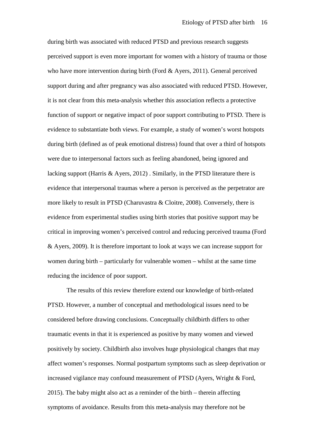during birth was associated with reduced PTSD and previous research suggests perceived support is even more important for women with a history of trauma or those who have more intervention during birth (Ford & Ayers, 2011). General perceived support during and after pregnancy was also associated with reduced PTSD. However, it is not clear from this meta-analysis whether this association reflects a protective function of support or negative impact of poor support contributing to PTSD. There is evidence to substantiate both views. For example, a study of women's worst hotspots during birth (defined as of peak emotional distress) found that over a third of hotspots were due to interpersonal factors such as feeling abandoned, being ignored and lacking support (Harris & Ayers, 2012) . Similarly, in the PTSD literature there is evidence that interpersonal traumas where a person is perceived as the perpetrator are more likely to result in PTSD (Charuvastra & Cloitre, 2008). Conversely, there is evidence from experimental studies using birth stories that positive support may be critical in improving women's perceived control and reducing perceived trauma (Ford & Ayers, 2009). It is therefore important to look at ways we can increase support for women during birth – particularly for vulnerable women – whilst at the same time reducing the incidence of poor support.

The results of this review therefore extend our knowledge of birth-related PTSD. However, a number of conceptual and methodological issues need to be considered before drawing conclusions. Conceptually childbirth differs to other traumatic events in that it is experienced as positive by many women and viewed positively by society. Childbirth also involves huge physiological changes that may affect women's responses. Normal postpartum symptoms such as sleep deprivation or increased vigilance may confound measurement of PTSD (Ayers, Wright & Ford, 2015). The baby might also act as a reminder of the birth – therein affecting symptoms of avoidance. Results from this meta-analysis may therefore not be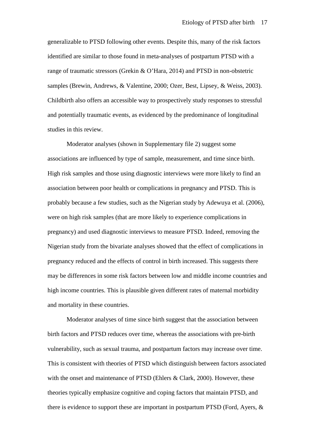generalizable to PTSD following other events. Despite this, many of the risk factors identified are similar to those found in meta-analyses of postpartum PTSD with a range of traumatic stressors (Grekin & O'Hara, 2014) and PTSD in non-obstetric samples (Brewin, Andrews, & Valentine, 2000; Ozer, Best, Lipsey, & Weiss, 2003). Childbirth also offers an accessible way to prospectively study responses to stressful and potentially traumatic events, as evidenced by the predominance of longitudinal studies in this review.

Moderator analyses (shown in Supplementary file 2) suggest some associations are influenced by type of sample, measurement, and time since birth. High risk samples and those using diagnostic interviews were more likely to find an association between poor health or complications in pregnancy and PTSD. This is probably because a few studies, such as the Nigerian study by Adewuya et al. (2006), were on high risk samples (that are more likely to experience complications in pregnancy) and used diagnostic interviews to measure PTSD. Indeed, removing the Nigerian study from the bivariate analyses showed that the effect of complications in pregnancy reduced and the effects of control in birth increased. This suggests there may be differences in some risk factors between low and middle income countries and high income countries. This is plausible given different rates of maternal morbidity and mortality in these countries.

Moderator analyses of time since birth suggest that the association between birth factors and PTSD reduces over time, whereas the associations with pre-birth vulnerability, such as sexual trauma, and postpartum factors may increase over time. This is consistent with theories of PTSD which distinguish between factors associated with the onset and maintenance of PTSD (Ehlers & Clark, 2000). However, these theories typically emphasize cognitive and coping factors that maintain PTSD, and there is evidence to support these are important in postpartum PTSD (Ford, Ayers, &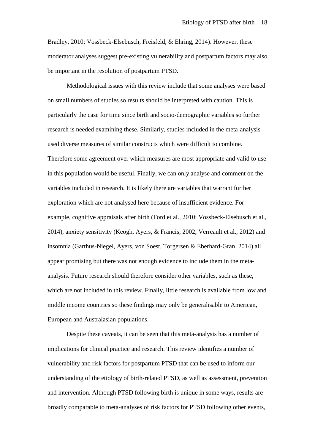Bradley, 2010; Vossbeck-Elsebusch, Freisfeld, & Ehring, 2014). However, these moderator analyses suggest pre-existing vulnerability and postpartum factors may also be important in the resolution of postpartum PTSD.

Methodological issues with this review include that some analyses were based on small numbers of studies so results should be interpreted with caution. This is particularly the case for time since birth and socio-demographic variables so further research is needed examining these. Similarly, studies included in the meta-analysis used diverse measures of similar constructs which were difficult to combine. Therefore some agreement over which measures are most appropriate and valid to use in this population would be useful. Finally, we can only analyse and comment on the variables included in research. It is likely there are variables that warrant further exploration which are not analysed here because of insufficient evidence. For example, cognitive appraisals after birth (Ford et al., 2010; Vossbeck-Elsebusch et al., 2014), anxiety sensitivity (Keogh, Ayers, & Francis, 2002; Verreault et al., 2012) and insomnia (Garthus-Niegel, Ayers, von Soest, Torgersen & Eberhard-Gran, 2014) all appear promising but there was not enough evidence to include them in the metaanalysis. Future research should therefore consider other variables, such as these, which are not included in this review. Finally, little research is available from low and middle income countries so these findings may only be generalisable to American, European and Australasian populations.

Despite these caveats, it can be seen that this meta-analysis has a number of implications for clinical practice and research. This review identifies a number of vulnerability and risk factors for postpartum PTSD that can be used to inform our understanding of the etiology of birth-related PTSD, as well as assessment, prevention and intervention. Although PTSD following birth is unique in some ways, results are broadly comparable to meta-analyses of risk factors for PTSD following other events,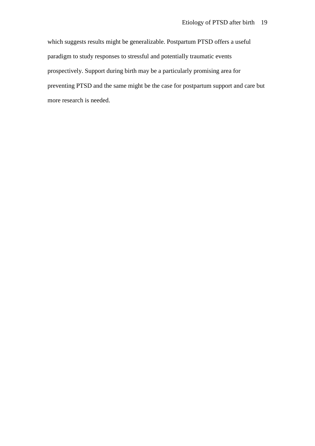which suggests results might be generalizable. Postpartum PTSD offers a useful paradigm to study responses to stressful and potentially traumatic events prospectively. Support during birth may be a particularly promising area for preventing PTSD and the same might be the case for postpartum support and care but more research is needed.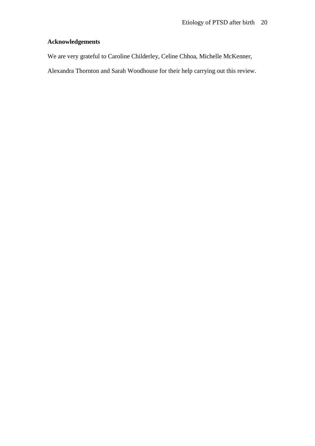## **Acknowledgements**

We are very grateful to Caroline Childerley, Celine Chhoa, Michelle McKenner,

Alexandra Thornton and Sarah Woodhouse for their help carrying out this review.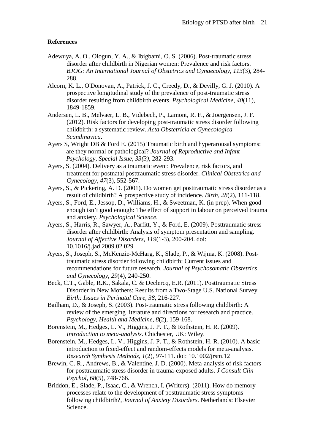## **References**

- Adewuya, A. O., Ologun, Y. A., & Ibigbami, O. S. (2006). Post-traumatic stress disorder after childbirth in Nigerian women: Prevalence and risk factors. *BJOG: An International Journal of Obstetrics and Gynaecology, 113*(3), 284- 288.
- Alcorn, K. L., O'Donovan, A., Patrick, J. C., Creedy, D., & Devilly, G. J. (2010). A prospective longitudinal study of the prevalence of post-traumatic stress disorder resulting from childbirth events. *Psychological Medicine, 40*(11), 1849-1859.
- Andersen, L. B., Melvaer, L. B., Videbech, P., Lamont, R. F., & Joergensen, J. F. (2012). Risk factors for developing post-traumatic stress disorder following childbirth: a systematic review. *Acta Obstetricia et Gynecologica Scandinavica*.
- Ayers S, Wright DB & Ford E. (2015) Traumatic birth and hyperarousal symptoms: are they normal or pathological? *Journal of Reproductive and Infant Psychology, Special Issue, 33(3),* 282-293.
- Ayers, S. (2004). Delivery as a traumatic event: Prevalence, risk factors, and treatment for postnatal posttraumatic stress disorder. *Clinical Obstetrics and Gynecology, 47*(3), 552-567.
- Ayers, S., & Pickering, A. D. (2001). Do women get posttraumatic stress disorder as a result of childbirth? A prospective study of incidence. *Birth, 28*(2), 111-118.
- Ayers, S., Ford, E., Jessop, D., Williams, H., & Sweetman, K. (in prep). When good enough isn't good enough: The effect of support in labour on perceived trauma and anxiety. *Psychological Science*.
- Ayers, S., Harris, R., Sawyer, A., Parfitt, Y., & Ford, E. (2009). Posttraumatic stress disorder after childbirth: Analysis of symptom presentation and sampling. *Journal of Affective Disorders, 119*(1-3), 200-204. doi: 10.1016/j.jad.2009.02.029
- Ayers, S., Joseph, S., McKenzie-McHarg, K., Slade, P., & Wijma, K. (2008). Posttraumatic stress disorder following childbirth: Current issues and recommendations for future research. *Journal of Psychosomatic Obstetrics and Gynecology, 29*(4), 240-250.
- Beck, C.T., Gable, R.K., Sakala, C. & Declercq, E.R. (2011). Posttraumatic Stress Disorder in New Mothers: Results from a Two-Stage U.S. National Survey. *Birth: Issues in Perinatal Care, 38*, 216-227.
- Bailham, D., & Joseph, S. (2003). Post-traumatic stress following childbirth: A review of the emerging literature and directions for research and practice. *Psychology, Health and Medicine, 8*(2), 159-168.
- Borenstein, M., Hedges, L. V., Higgins, J. P. T., & Rothstein, H. R. (2009). *Introduction to meta-analysis*. Chichester, UK: Wiley.
- Borenstein, M., Hedges, L. V., Higgins, J. P. T., & Rothstein, H. R. (2010). A basic introduction to fixed-effect and random-effects models for meta-analysis. *Research Synthesis Methods, 1*(2), 97-111. doi: 10.1002/jrsm.12
- Brewin, C. R., Andrews, B., & Valentine, J. D. (2000). Meta-analysis of risk factors for posttraumatic stress disorder in trauma-exposed adults. *J Consult Clin Psychol, 68*(5), 748-766.
- Briddon, E., Slade, P., Isaac, C., & Wrench, I. (Writers). (2011). How do memory processes relate to the development of posttraumatic stress symptoms following childbirth?, *Journal of Anxiety Disorders*. Netherlands: Elsevier Science.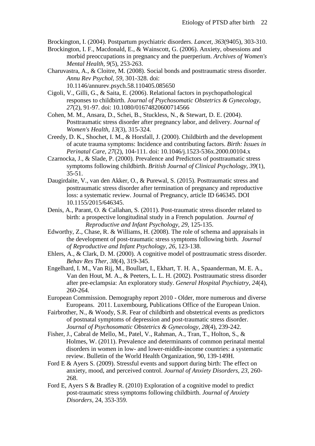Brockington, I. (2004). Postpartum psychiatric disorders. *Lancet, 363*(9405), 303-310.

- Brockington, I. F., Macdonald, E., & Wainscott, G. (2006). Anxiety, obsessions and morbid preoccupations in pregnancy and the puerperium. *Archives of Women's Mental Health, 9*(5), 253-263.
- Charuvastra, A., & Cloitre, M. (2008). Social bonds and posttraumatic stress disorder. *Annu Rev Psychol, 59*, 301-328. doi: 10.1146/annurev.psych.58.110405.085650
- Cigoli, V., Gilli, G., & Saita, E. (2006). Relational factors in psychopathological responses to childbirth. *Journal of Psychosomatic Obstetrics & Gynecology, 27*(2), 91-97. doi: 10.1080/01674820600714566
- Cohen, M. M., Ansara, D., Schei, B., Stuckless, N., & Stewart, D. E. (2004). Posttraumatic stress disorder after pregnancy labor, and delivery. *Journal of Women's Health, 13*(3), 315-324.
- Creedy, D. K., Shochet, I. M., & Horsfall, J. (2000). Childbirth and the development of acute trauma symptoms: Incidence and contributing factors. *Birth: Issues in Perinatal Care, 27*(2), 104-111. doi: 10.1046/j.1523-536x.2000.00104.x
- Czarnocka, J., & Slade, P. (2000). Prevalence and Predictors of posttraumatic stress symptoms following childbirth. *British Journal of Clinical Psychology, 39*(1), 35-51.
- Daugirdaite, V., van den Akker, O., & Purewal, S. (2015). Posttraumatic stress and posttraumatic stress disorder after termination of pregnancy and reproductive loss: a systematic review. Journal of Pregnancy, article ID 646345. DOI 10.1155/2015/646345.
- Denis, A., Parant, O. & Callahan, S. (2011). Post-traumatic stress disorder related to birth: a prospective longitudinal study in a French population. *Journal of Reproductive and Infant Psychology, 29*, 125-135.
- Edworthy, Z., Chase, R. & Williams, H. (2008). The role of schema and appraisals in the development of post-traumatic stress symptoms following birth. *Journal of Reproductive and Infant Psychology, 26*, 123-138.
- Ehlers, A., & Clark, D. M. (2000). A cognitive model of posttraumatic stress disorder. *Behav Res Ther, 38*(4), 319-345.
- Engelhard, I. M., Van Rij, M., Boullart, I., Ekhart, T. H. A., Spaanderman, M. E. A., Van den Hout, M. A., & Peeters, L. L. H. (2002). Posttraumatic stress disorder after pre-eclampsia: An exploratory study. *General Hospital Psychiatry, 24*(4), 260-264.
- European Commission. Demography report 2010 Older, more numerous and diverse Europeans. 2011. Luxembourg, Publications Office of the European Union.
- Fairbrother, N., & Woody, S.R. [Fear of childbirth and obstetrical events as predictors](http://www.ncbi.nlm.nih.gov/pubmed/17966050)  [of postnatal symptoms of depression and post-traumatic stress disorder.](http://www.ncbi.nlm.nih.gov/pubmed/17966050) *Journal of Psychosomatic Obstetrics & Gynecology, 28*(4), 239-242.
- Fisher, J., Cabral de Mello, M., Patel, V., Rahman, A., Tran, T., Holton, S., & Holmes, W. (2011). Prevalence and determinants of common perinatal mental disorders in women in low- and lower-middle-income countries: a systematic review. Bulletin of the World Health Organization, 90, 139-149H.
- Ford E & Ayers S. (2009). Stressful events and support during birth: The effect on anxiety, mood, and perceived control. *Journal of Anxiety Disorders, 23,* 260- 268.
- Ford E, Ayers S & Bradley R. (2010) Exploration of a cognitive model to predict post-traumatic stress symptoms following childbirth. *Journal of Anxiety Disorders,* 24, 353-359.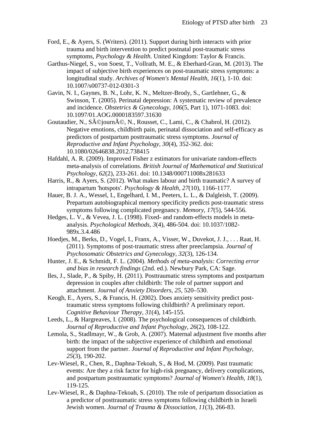- Ford, E., & Ayers, S. (Writers). (2011). Support during birth interacts with prior trauma and birth intervention to predict postnatal post-traumatic stress symptoms, *Psychology & Health*. United Kingdom: Taylor & Francis.
- Garthus-Niegel, S., von Soest, T., Vollrath, M. E., & Eberhard-Gran, M. (2013). The impact of subjective birth experiences on post-traumatic stress symptoms: a longitudinal study. *Archives of Women's Mental Health, 16*(1), 1-10. doi: 10.1007/s00737-012-0301-3
- Gavin, N. I., Gaynes, B. N., Lohr, K. N., Meltzer-Brody, S., Gartlehner, G., & Swinson, T. (2005). Perinatal depression: A systematic review of prevalence and incidence. *Obstetrics & Gynecology, 106*(5, Part 1), 1071-1083. doi: 10.1097/01.AOG.0000183597.31630
- Goutaudier, N., Séjourné, N., Rousset, C., Lami, C., & Chabrol, H. (2012). Negative emotions, childbirth pain, perinatal dissociation and self-efficacy as predictors of postpartum posttraumatic stress symptoms. *Journal of Reproductive and Infant Psychology, 30*(4), 352-362. doi: 10.1080/02646838.2012.738415
- Hafdahl, A. R. (2009). Improved Fisher z estimators for univariate random-effects meta-analysis of correlations. *British Journal of Mathematical and Statistical Psychology, 62*(2), 233-261. doi: 10.1348/000711008x281633
- Harris, R., & Ayers, S. (2012). What makes labour and birth traumatic? A survey of intrapartum 'hotspots'. *Psychology & Health, 27*(10), 1166-1177.
- Hauer, B. J. A., Wessel, I., Engelhard, I. M., Peeters, L. L., & Dalgleish, T. (2009). Prepartum autobiographical memory specificity predicts post-traumatic stress symptoms following complicated pregnancy. *Memory, 17*(5), 544-556.
- Hedges, L. V., & Vevea, J. L. (1998). Fixed- and random-effects models in metaanalysis. *Psychological Methods, 3*(4), 486-504. doi: 10.1037/1082- 989x.3.4.486
- Hoedjes, M., Berks, D., Vogel, I., Franx, A., Visser, W., Duvekot, J. J., . . . Raat, H. (2011). Symptoms of post-traumatic stress after preeclampsia. *Journal of Psychosomatic Obstetrics and Gynecology, 32*(3), 126-134.
- Hunter, J. E., & Schmidt, F. L. (2004). *Methods of meta-analysis: Correcting error and bias in research findings* (2nd. ed.). Newbury Park, CA: Sage.
- Iles, J., Slade, P., & Spiby, H. (2011). Posttraumatic stress symptoms and postpartum depression in couples after childbirth: The role of partner support and attachment. *Journal of Anxiety Disorders*, *25*, 520–530.
- Keogh, E., Ayers, S., & Francis, H. (2002). Does anxiety sensitivity predict posttraumatic stress symptoms following childbirth? A preliminary report. *Cognitive Behaviour Therapy, 31*(4), 145-155.
- Leeds, L., & Hargreaves, I. (2008). The psychological consequences of childbirth. *Journal of Reproductive and Infant Psychology, 26*(2), 108-122.
- Lemola, S., Stadlmayr, W., & Grob, A. (2007). Maternal adjustment five months after birth: the impact of the subjective experience of childbirth and emotional support from the partner. *Journal of Reproductive and Infant Psychology, 25*(3), 190-202.
- Lev-Wiesel, R., Chen, R., Daphna-Tekoah, S., & Hod, M. (2009). Past traumatic events: Are they a risk factor for high-risk pregnancy, delivery complications, and postpartum posttraumatic symptoms? *Journal of Women's Health, 18*(1), 119-125.
- [Lev-Wiesel, R.](http://www.ncbi.nlm.nih.gov/pubmed?term=Lev-Wiesel%20R%5BAuthor%5D&cauthor=true&cauthor_uid=20603762), & [Daphna-Tekoah, S.](http://www.ncbi.nlm.nih.gov/pubmed?term=Daphna-Tekoah%20S%5BAuthor%5D&cauthor=true&cauthor_uid=20603762) (2010). The role of peripartum dissociation as a predictor of posttraumatic stress symptoms following childbirth in Israeli Jewish women. *Journal of [Trauma & Dissociation, 1](http://www.ncbi.nlm.nih.gov/pubmed/20603762)1*(3), 266-83.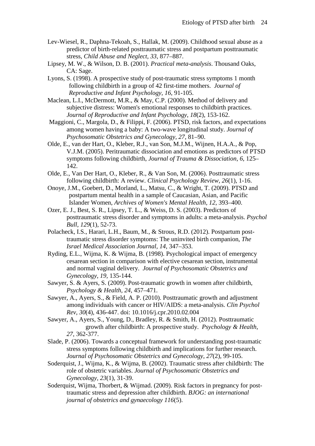- Lev-Wiesel, R., Daphna-Tekoah, S., Hallak, M. (2009). Childhood sexual abuse as a predictor of birth-related posttraumatic stress and postpartum posttraumatic stress, *Child Abuse and Neglect, 33*, 877–887.
- Lipsey, M. W., & Wilson, D. B. (2001). *Practical meta-analysis*. Thousand Oaks, CA: Sage.
- Lyons, S. (1998). A prospective study of post-traumatic stress symptoms 1 month following childbirth in a group of 42 first-time mothers. *Journal of Reproductive and Infant Psychology, 16*, 91-105.
- [Maclean,](https://www.researchgate.net/researcher/2012618522_L_I_MaClean) L.I., McDermott, M.R., & May, C.P. (2000). Method of delivery and subjective distress: Women's emotional responses to childbirth practices. *Journal of Reproductive and Infant Psychology*, *18*(2), 153-162.
- Maggioni, C., Margola, D., & Filippi, F. (2006). PTSD, risk factors, and expectations among women having a baby: A two-wave longitudinal study. *Journal of Psychosomatic Obstetrics and Gynecology, 27,* 81–90.
- Olde, E., van der Hart, O., Kleber, R.J., van Son, M.J.M., Wijnen, H.A.A., & Pop, V.J.M. (2005). Peritraumatic dissociation and emotions as predictors of PTSD symptoms following childbirth, *Journal of Trauma & Dissociation, 6*, 125– 142.
- Olde, E., Van Der Hart, O., Kleber, R., & Van Son, M. (2006). Posttraumatic stress following childbirth: A review. *Clinical Psychology Review, 26*(1), 1-16.
- Onoye, J.M., Goebert, D., Morland, L., Matsu, C., & Wright, T. (2009). PTSD and postpartum mental health in a sample of Caucasian, Asian, and Pacific Islander Women, *Archives of Women's Mental Health, 12*, 393–400.
- Ozer, E. J., Best, S. R., Lipsey, T. L., & Weiss, D. S. (2003). Predictors of posttraumatic stress disorder and symptoms in adults: a meta-analysis. *Psychol Bull, 129*(1), 52-73.
- Polacheck, I.S., Harari, L.H., Baum, M., & Strous, R.D. (2012). Postpartum posttraumatic stress disorder symptoms: The uninvited birth companion, *The Israel Medical Association Journal, 14*, 347–353.
- Ryding, E.L., Wijma, K. & Wijma, B. (1998). Psychological impact of emergency cesarean section in comparison with elective cesarean section, instrumental and normal vaginal delivery. *Journal of Psychosomatic Obstetrics and Gynecology, 19,* 135-144.
- Sawyer, S. & Ayers, S. (2009). Post-traumatic growth in women after childbirth, *Psychology & Health, 24*, 457–471.
- Sawyer, A., Ayers, S., & Field, A. P. (2010). Posttraumatic growth and adjustment among individuals with cancer or HIV/AIDS: a meta-analysis. *Clin Psychol Rev, 30*(4), 436-447. doi: 10.1016/j.cpr.2010.02.004
- Sawyer, A., Ayers, S., Young, D., Bradley, R. & Smith, H. (2012). Posttraumatic growth after childbirth: A prospective study. *Psychology & Health, 27*, 362-377.
- Slade, P. (2006). Towards a conceptual framework for understanding post-traumatic stress symptoms following childbirth and implications for further research. *Journal of Psychosomatic Obstetrics and Gynecology, 27*(2), 99-105.
- Soderquist, J., Wijma, K., & Wijma, B. (2002). Traumatic stress after childbirth: The role of obstetric variables. *Journal of Psychosomatic Obstetrics and Gynecology, 23*(1), 31-39.
- Soderquist, Wijma, Thorbert, & Wijmad. (2009). Risk factors in pregnancy for posttraumatic stress and depression after childbirth. *BJOG: an international journal of obstetrics and gynaecology 116*(5).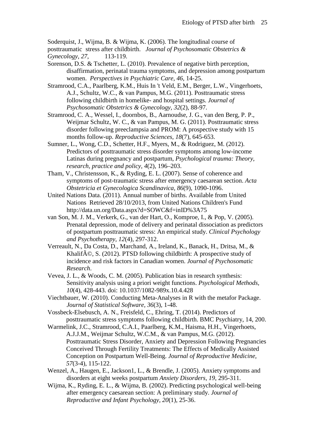Soderquist, J., Wijma, B. & Wijma, K. (2006). The longitudinal course of

- posttraumatic stress after childbirth. *Journal of Psychosomatic Obstetrics & Gynecology, 27*, 113-119.
- Sorenson, D.S. & Tschetter, L. (2010). Prevalence of negative birth perception, disaffirmation, perinatal trauma symptoms, and depression among postpartum women. *Perspectives in Psychiatric Care, 46*, 14-25.
- [Stramrood, C.A.](http://www.ncbi.nlm.nih.gov/pubmed?term=Stramrood%20CA%5BAuthor%5D&cauthor=true&cauthor_uid=21557681), [Paarlberg, K.M.](http://www.ncbi.nlm.nih.gov/pubmed?term=Paarlberg%20KM%5BAuthor%5D&cauthor=true&cauthor_uid=21557681), [Huis In 't Veld, E.M.](http://www.ncbi.nlm.nih.gov/pubmed?term=Huis%20In%20%27t%20Veld%20EM%5BAuthor%5D&cauthor=true&cauthor_uid=21557681), [Berger, L.W.](http://www.ncbi.nlm.nih.gov/pubmed?term=Berger%20LW%5BAuthor%5D&cauthor=true&cauthor_uid=21557681), [Vingerhoets,](http://www.ncbi.nlm.nih.gov/pubmed?term=Vingerhoets%20AJ%5BAuthor%5D&cauthor=true&cauthor_uid=21557681)  [A.J.](http://www.ncbi.nlm.nih.gov/pubmed?term=Vingerhoets%20AJ%5BAuthor%5D&cauthor=true&cauthor_uid=21557681), [Schultz, W.C.](http://www.ncbi.nlm.nih.gov/pubmed?term=Schultz%20WC%5BAuthor%5D&cauthor=true&cauthor_uid=21557681), & [van Pampus, M.G.](http://www.ncbi.nlm.nih.gov/pubmed?term=van%20Pampus%20MG%5BAuthor%5D&cauthor=true&cauthor_uid=21557681) (2011). Posttraumatic stress following childbirth in homelike- and hospital settings. *[Journal of](http://www.ncbi.nlm.nih.gov/pubmed/21557681)  [Psychosomatic Obstetrics & Gynecology, 3](http://www.ncbi.nlm.nih.gov/pubmed/21557681)2*(2), 88-97.
- Stramrood, C. A., Wessel, I., doornbos, B., Aarnoudse, J. G., van den Berg, P. P., Weijmar Schultz, W. C., & van Pampus, M. G. (2011). Posttraumatic stress disorder following preeclampsia and PROM: A prospective study with 15 months follow-up. *Reproductive Sciences, 18*(7), 645-653.
- Sumner, L., Wong, C.D., Schetter, H.F., Myers, M., & Rodriguez, M. (2012). Predictors of posttraumatic stress disorder symptoms among low-income Latinas during pregnancy and postpartum, *Psychological trauma: Theory, research, practice and policy, 4*(2), 196–203.
- Tham, V., Christensson, K., & Ryding, E. L. (2007). Sense of coherence and symptoms of post-traumatic stress after emergency caesarean section. *Acta Obstetricia et Gynecologica Scandinavica, 86*(9), 1090-1096.
- United Nations Data. (2011). Annual number of births. Available from United Nations Retrieved 28/10/2013, from United Nations Children's Fund http://data.un.org/Data.aspx?d=SOWC&f=inID%3A75
- van Son, M. J. M., Verkerk, G., van der Hart, O., Komproe, I., & Pop, V. (2005). Prenatal depression, mode of delivery and perinatal dissociation as predictors of postpartum posttraumatic stress: An empirical study. *Clinical Psychology and Psychotherapy, 12*(4), 297-312.
- Verreault, N., Da Costa, D., Marchand, A., Ireland, K., Banack, H., Dritsa, M., & Khalif $\tilde{A}$ ©, S. (2012). PTSD following childbirth: A prospective study of incidence and risk factors in Canadian women. *Journal of Psychosomatic Research*.
- Vevea, J. L., & Woods, C. M. (2005). Publication bias in research synthesis: Sensitivity analysis using a priori weight functions. *Psychological Methods, 10*(4), 428-443. doi: 10.1037/1082-989x.10.4.428
- Viechtbauer, W. (2010). Conducting Meta-Analyses in R with the metafor Package. *Journal of Statistical Software, 36*(3), 1-48.
- Vossbeck-Elsebusch, A. N., Freisfeld, C., Ehring, T. (2014). Predictors of posttraumatic stress symptoms following childbirth. BMC Psychiatry, 14, 200.
- Warmelink, J.C., Stramrood, C.A.I., Paarlberg, K.M., Haisma, H.H., Vingerhoets, A.J.J.M., Weijmar Schultz, W.C.M., & van Pampus, M.G. (2012). [Posttraumatic Stress Disorder, Anxiety and Depression Following Pregnancies](http://www.reproductivemedicine.com/toc/auto_abstract.php?id=23945)  [Conceived Through Fertility Treatments: The Effects of Medically Assisted](http://www.reproductivemedicine.com/toc/auto_abstract.php?id=23945)  [Conception on Postpartum Well-Being.](http://www.reproductivemedicine.com/toc/auto_abstract.php?id=23945) *Journal of Reproductive Medicine, 57*(3-4), 115-122.
- Wenzel, A., Haugen, E., Jackson1, L., & Brendle, J. (2005). Anxiety symptoms and disorders at eight weeks postpartum *Anxiety Disorders, 19*, 295-311.
- Wijma, K., Ryding, E. L., & Wijma, B. (2002). Predicting psychological well-being after emergency caesarean section: A preliminary study. *Journal of Reproductive and Infant Psychology, 20*(1), 25-36.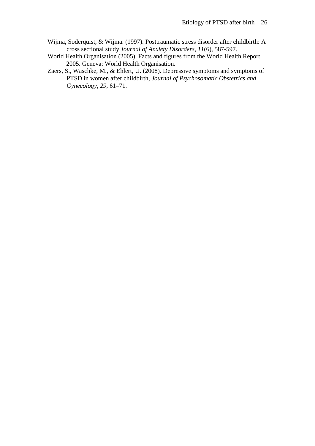- Wijma, Soderquist, & Wijma. (1997). Posttraumatic stress disorder after childbirth: A cross sectional study *Journal of Anxiety Disorders, 11*(6), 587-597.
- World Health Organisation (2005). Facts and figures from the World Health Report 2005. Geneva: World Health Organisation.
- Zaers, S., Waschke, M., & Ehlert, U. (2008). Depressive symptoms and symptoms of PTSD in women after childbirth, *Journal of Psychosomatic Obstetrics and Gynecology, 29*, 61–71.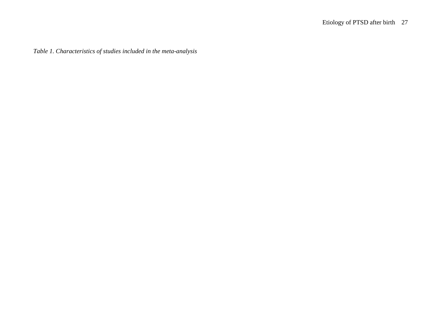*Table 1. Characteristics of studies included in the meta-analysis*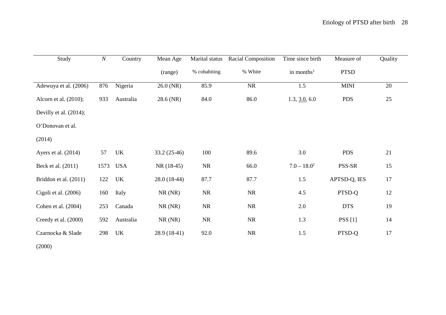| Study                     | $\boldsymbol{N}$ | Country    | Mean Age      | Marital status | Racial Composition | Time since birth | Measure of   | Quality |
|---------------------------|------------------|------------|---------------|----------------|--------------------|------------------|--------------|---------|
|                           |                  |            | (range)       | % cohabiting   | % White            | in months $1$    | <b>PTSD</b>  |         |
| Adewuya et al. (2006)     | 876              | Nigeria    | 26.0 (NR)     | 85.9           | <b>NR</b>          | 1.5              | <b>MINI</b>  | 20      |
| Alcorn et al. (2010);     | 933              | Australia  | 28.6 (NR)     | 84.0           | 86.0               | 1.3, 3.0, 6.0    | <b>PDS</b>   | 25      |
| Devilly et al. $(2014)$ ; |                  |            |               |                |                    |                  |              |         |
| O'Donovan et al.          |                  |            |               |                |                    |                  |              |         |
| (2014)                    |                  |            |               |                |                    |                  |              |         |
| Ayers et al. (2014)       | 57               | UK         | $33.2(25-46)$ | 100            | 89.6               | 3.0              | <b>PDS</b>   | 21      |
| Beck et al. (2011)        | 1573             | <b>USA</b> | $NR(18-45)$   | <b>NR</b>      | 66.0               | $7.0 - 18.0^2$   | PSS-SR       | 15      |
| Briddon et al. (2011)     | 122              | UK         | $28.0(18-44)$ | 87.7           | 87.7               | 1.5              | APTSD-Q, IES | 17      |
| Cigoli et al. (2006)      | 160              | Italy      | NR(NR)        | <b>NR</b>      | <b>NR</b>          | 4.5              | PTSD-Q       | 12      |
| Cohen et al. (2004)       | 253              | Canada     | NR(NR)        | <b>NR</b>      | <b>NR</b>          | 2.0              | <b>DTS</b>   | 19      |
| Creedy et al. (2000)      | 592              | Australia  | NR(NR)        | <b>NR</b>      | <b>NR</b>          | 1.3              | PSS[1]       | 14      |
| Czarnocka & Slade         | 298              | UK         | $28.9(18-41)$ | 92.0           | <b>NR</b>          | 1.5              | PTSD-Q       | 17      |

(2000)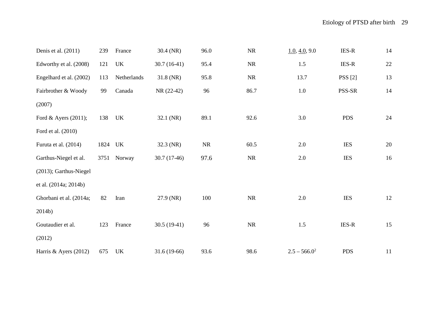| Denis et al. (2011)     | 239     | France      | 30.4 (NR)     | 96.0      | <b>NR</b> | 1.0, 4.0, 9.0   | $IES-R$        | 14     |
|-------------------------|---------|-------------|---------------|-----------|-----------|-----------------|----------------|--------|
| Edworthy et al. (2008)  | 121     | UK          | $30.7(16-41)$ | 95.4      | <b>NR</b> | 1.5             | <b>IES-R</b>   | $22\,$ |
| Engelhard et al. (2002) | 113     | Netherlands | 31.8 (NR)     | 95.8      | NR        | 13.7            | <b>PSS</b> [2] | 13     |
| Fairbrother & Woody     | 99      | Canada      | NR (22-42)    | 96        | 86.7      | $1.0\,$         | PSS-SR         | 14     |
| (2007)                  |         |             |               |           |           |                 |                |        |
| Ford & Ayers (2011);    | 138     | UK          | 32.1 (NR)     | 89.1      | 92.6      | 3.0             | <b>PDS</b>     | 24     |
| Ford et al. (2010)      |         |             |               |           |           |                 |                |        |
| Furuta et al. (2014)    | 1824 UK |             | 32.3 (NR)     | <b>NR</b> | 60.5      | 2.0             | <b>IES</b>     | 20     |
| Garthus-Niegel et al.   | 3751    | Norway      | $30.7(17-46)$ | 97.6      | <b>NR</b> | 2.0             | <b>IES</b>     | 16     |
| (2013); Garthus-Niegel  |         |             |               |           |           |                 |                |        |
| et al. (2014a; 2014b)   |         |             |               |           |           |                 |                |        |
| Ghorbani et al. (2014a; | 82      | Iran        | 27.9 (NR)     | 100       | <b>NR</b> | 2.0             | <b>IES</b>     | 12     |
| 2014b)                  |         |             |               |           |           |                 |                |        |
| Goutaudier et al.       | 123     | France      | $30.5(19-41)$ | 96        | <b>NR</b> | 1.5             | $IES-R$        | 15     |
| (2012)                  |         |             |               |           |           |                 |                |        |
| Harris & Ayers (2012)   | 675     | UK          | 31.6 (19-66)  | 93.6      | 98.6      | $2.5 - 566.0^2$ | <b>PDS</b>     | 11     |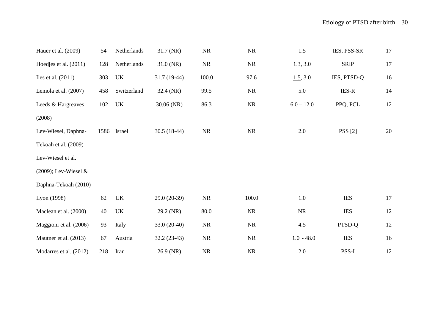| Hauer et al. (2009)     | 54   | Netherlands | 31.7 (NR)     | ${\rm NR}$ | ${\rm NR}$ | 1.5          | IES, PSS-SR    | 17     |
|-------------------------|------|-------------|---------------|------------|------------|--------------|----------------|--------|
| Hoedjes et al. (2011)   | 128  | Netherlands | $31.0$ (NR)   | NR         | ${\rm NR}$ | 1.3, 3.0     | <b>SRIP</b>    | 17     |
| Iles et al. $(2011)$    | 303  | UK          | $31.7(19-44)$ | 100.0      | 97.6       | 1.5, 3.0     | IES, PTSD-Q    | 16     |
| Lemola et al. (2007)    | 458  | Switzerland | 32.4 (NR)     | 99.5       | NR         | 5.0          | <b>IES-R</b>   | 14     |
| Leeds & Hargreaves      | 102  | UK          | 30.06 (NR)    | 86.3       | <b>NR</b>  | $6.0 - 12.0$ | PPQ, PCL       | 12     |
| (2008)                  |      |             |               |            |            |              |                |        |
| Lev-Wiesel, Daphna-     | 1586 | Israel      | $30.5(18-44)$ | NR         | <b>NR</b>  | 2.0          | <b>PSS</b> [2] | 20     |
| Tekoah et al. (2009)    |      |             |               |            |            |              |                |        |
| Lev-Wiesel et al.       |      |             |               |            |            |              |                |        |
| $(2009)$ ; Lev-Wiesel & |      |             |               |            |            |              |                |        |
| Daphna-Tekoah (2010)    |      |             |               |            |            |              |                |        |
| Lyon (1998)             | 62   | UK          | 29.0 (20-39)  | NR         | 100.0      | 1.0          | <b>IES</b>     | 17     |
| Maclean et al. (2000)   | 40   | UK          | 29.2 (NR)     | 80.0       | $\rm NR$   | $\rm NR$     | <b>IES</b>     | $12\,$ |
| Maggioni et al. (2006)  | 93   | Italy       | $33.0(20-40)$ | NR         | <b>NR</b>  | 4.5          | PTSD-Q         | 12     |
| Mautner et al. (2013)   | 67   | Austria     | $32.2(23-43)$ | ${\rm NR}$ | NR         | $1.0 - 48.0$ | <b>IES</b>     | 16     |
| Modarres et al. (2012)  | 218  | Iran        | 26.9 (NR)     | $\rm NR$   | $\rm NR$   | 2.0          | PSS-I          | 12     |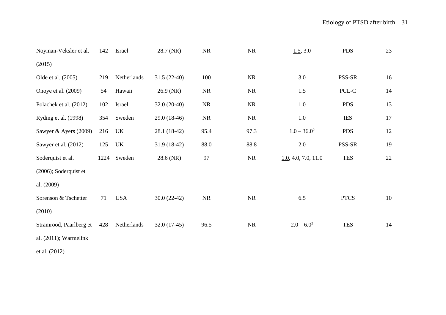| Noyman-Veksler et al.    | 142  | Israel      | 28.7 (NR)     | <b>NR</b> | NR        | 1.5, 3.0            | <b>PDS</b>  | 23 |
|--------------------------|------|-------------|---------------|-----------|-----------|---------------------|-------------|----|
| (2015)                   |      |             |               |           |           |                     |             |    |
| Olde et al. (2005)       | 219  | Netherlands | $31.5(22-40)$ | 100       | NR        | 3.0                 | PSS-SR      | 16 |
| Onoye et al. (2009)      | 54   | Hawaii      | 26.9 (NR)     | <b>NR</b> | <b>NR</b> | 1.5                 | PCL-C       | 14 |
| Polachek et al. (2012)   | 102  | Israel      | $32.0(20-40)$ | NR        | <b>NR</b> | 1.0                 | <b>PDS</b>  | 13 |
| Ryding et al. (1998)     | 354  | Sweden      | 29.0 (18-46)  | <b>NR</b> | <b>NR</b> | 1.0                 | <b>IES</b>  | 17 |
| Sawyer & Ayers (2009)    | 216  | UK          | 28.1 (18-42)  | 95.4      | 97.3      | $1.0 - 36.0^2$      | <b>PDS</b>  | 12 |
| Sawyer et al. (2012)     | 125  | UK          | $31.9(18-42)$ | 88.0      | 88.8      | 2.0                 | PSS-SR      | 19 |
| Soderquist et al.        | 1224 | Sweden      | 28.6 (NR)     | 97        | NR        | 1.0, 4.0, 7.0, 11.0 | <b>TES</b>  | 22 |
| (2006); Soderquist et    |      |             |               |           |           |                     |             |    |
| al. (2009)               |      |             |               |           |           |                     |             |    |
| Sorenson & Tschetter     | 71   | <b>USA</b>  | $30.0(22-42)$ | <b>NR</b> | <b>NR</b> | 6.5                 | <b>PTCS</b> | 10 |
| (2010)                   |      |             |               |           |           |                     |             |    |
| Stramrood, Paarlberg et  | 428  | Netherlands | $32.0(17-45)$ | 96.5      | <b>NR</b> | $2.0 - 6.0^2$       | <b>TES</b>  | 14 |
| al. $(2011)$ ; Warmelink |      |             |               |           |           |                     |             |    |

et al. (2012)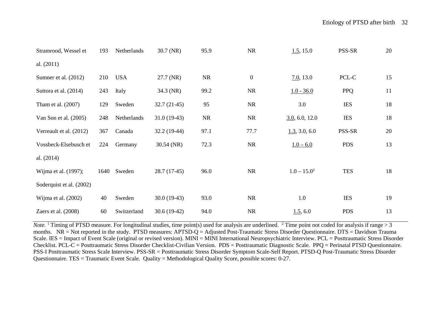| Stramrood, Wessel et     | 193  | Netherlands | $30.7$ (NR)   | 95.9      | <b>NR</b>        | 1.5, 15.0      | PSS-SR     | 20 |
|--------------------------|------|-------------|---------------|-----------|------------------|----------------|------------|----|
| al. $(2011)$             |      |             |               |           |                  |                |            |    |
| Sumner et al. (2012)     | 210  | <b>USA</b>  | 27.7 (NR)     | <b>NR</b> | $\boldsymbol{0}$ | 7.0, 13.0      | PCL-C      | 15 |
| Suttora et al. (2014)    | 243  | Italy       | 34.3 (NR)     | 99.2      | <b>NR</b>        | $1.0 - 36.0$   | <b>PPQ</b> | 11 |
| Tham et al. (2007)       | 129  | Sweden      | $32.7(21-45)$ | 95        | <b>NR</b>        | 3.0            | <b>IES</b> | 18 |
| Van Son et al. $(2005)$  | 248  | Netherlands | $31.0(19-43)$ | <b>NR</b> | <b>NR</b>        | 3.0, 6.0, 12.0 | <b>IES</b> | 18 |
| Verreault et al. (2012)  | 367  | Canada      | $32.2(19-44)$ | 97.1      | 77.7             | 1.3, 3.0, 6.0  | PSS-SR     | 20 |
| Vossbeck-Elsebusch et    | 224  | Germany     | $30.54$ (NR)  | 72.3      | <b>NR</b>        | $1.0 - 6.0$    | <b>PDS</b> | 13 |
| al. $(2014)$             |      |             |               |           |                  |                |            |    |
| Wijma et al. (1997);     | 1640 | Sweden      | $28.7(17-45)$ | 96.0      | <b>NR</b>        | $1.0 - 15.0^2$ | <b>TES</b> | 18 |
| Soderquist et al. (2002) |      |             |               |           |                  |                |            |    |
| Wijma et al. (2002)      | 40   | Sweden      | $30.0(19-43)$ | 93.0      | <b>NR</b>        | 1.0            | <b>IES</b> | 19 |
| Zaers et al. $(2008)$    | 60   | Switzerland | $30.6(19-42)$ | 94.0      | <b>NR</b>        | 1.5, 6.0       | <b>PDS</b> | 13 |

*Note.* <sup>1</sup> Timing of PTSD measure. For longitudinal studies, time point(s) used for analysis are underlined. <sup>2</sup> Time point not coded for analysis if range > 3 months.  $NR = Not$  reported in the study. PTSD measures:  $APTSD-Q =$  Adjusted Post-Traumatic Stress Disorder Questionnaire. DTS = Davidson Trauma Scale. IES = Impact of Event Scale (original or revised version). MINI = MINI International Neuropsychiatric Interview. PCL = Posttraumatic Stress Disorder Checklist. PCL-C = Posttraumatic Stress Disorder Checklist-Civilian Version. PDS = Posttraumatic Diagnostic Scale. PPQ = Perinatal PTSD Questionnaire. PSS-I Posttraumatic Stress Scale Interview. PSS-SR = Posttraumatic Stress Disorder Symptom Scale-Self Report. PTSD-Q Post-Traumatic Stress Disorder Questionnaire. TES = Traumatic Event Scale. Quality = Methodological Quality Score, possible scores: 0-27.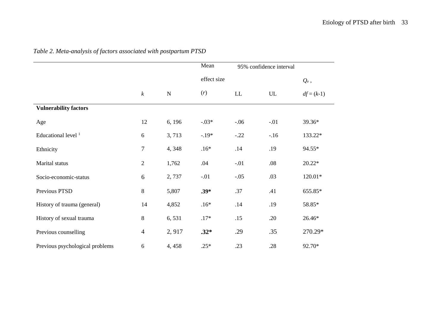|                                 |                  |             | Mean        |         | 95% confidence interval |              |
|---------------------------------|------------------|-------------|-------------|---------|-------------------------|--------------|
|                                 |                  |             | effect size |         |                         | $Q_e$ ,      |
|                                 | $\boldsymbol{k}$ | $\mathbf N$ | (r)         | LL      | UL                      | $df = (k-1)$ |
| <b>Vulnerability factors</b>    |                  |             |             |         |                         |              |
| Age                             | 12               | 6, 196      | $-0.03*$    | $-0.06$ | $-.01$                  | 39.36*       |
| Educational level <sup>1</sup>  | 6                | 3,713       | $-19*$      | $-.22$  | $-.16$                  | 133.22*      |
| Ethnicity                       | $\overline{7}$   | 4,348       | $.16*$      | .14     | .19                     | 94.55*       |
| Marital status                  | $\overline{2}$   | 1,762       | .04         | $-.01$  | .08                     | $20.22*$     |
| Socio-economic-status           | 6                | 2,737       | $-.01$      | $-.05$  | .03                     | 120.01*      |
| Previous PTSD                   | $8\,$            | 5,807       | $.39*$      | .37     | .41                     | 655.85*      |
| History of trauma (general)     | 14               | 4,852       | $.16*$      | .14     | .19                     | 58.85*       |
| History of sexual trauma        | 8                | 6,531       | $.17*$      | .15     | .20                     | 26.46*       |
| Previous counselling            | $\overline{4}$   | 2,917       | $.32*$      | .29     | .35                     | 270.29*      |
| Previous psychological problems | 6                | 4,458       | $.25*$      | .23     | .28                     | 92.70*       |

*Table 2. Meta-analysis of factors associated with postpartum PTSD*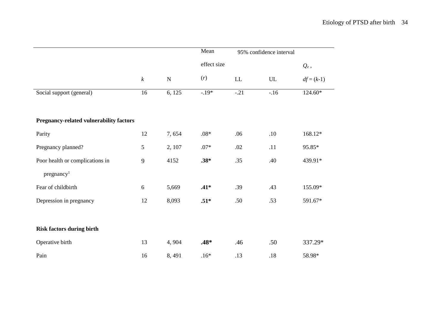|                                         |                  |           | Mean        |                            | 95% confidence interval    |              |
|-----------------------------------------|------------------|-----------|-------------|----------------------------|----------------------------|--------------|
|                                         |                  |           | effect size |                            |                            | $Q_e$ ,      |
|                                         | $\boldsymbol{k}$ | ${\bf N}$ | (r)         | $\mathop{\rm LL}\nolimits$ | $\ensuremath{\mathrm{UL}}$ | $df = (k-1)$ |
| Social support (general)                | $\overline{16}$  | 6, 125    | $-19*$      | $-.21$                     | $-16$                      | $124.60*$    |
|                                         |                  |           |             |                            |                            |              |
| Pregnancy-related vulnerability factors |                  |           |             |                            |                            |              |
| Parity                                  | 12               | 7,654     | $.08*$      | .06                        | .10                        | 168.12*      |
| Pregnancy planned?                      | 5                | 2, 107    | $.07*$      | .02                        | .11                        | 95.85*       |
| Poor health or complications in         | 9                | 4152      | $.38*$      | .35                        | .40                        | 439.91*      |
| pregnancy <sup>1</sup>                  |                  |           |             |                            |                            |              |
| Fear of childbirth                      | $6\,$            | 5,669     | $.41*$      | .39                        | .43                        | 155.09*      |
| Depression in pregnancy                 | 12               | 8,093     | $.51*$      | .50                        | .53                        | 591.67*      |
|                                         |                  |           |             |                            |                            |              |
| <b>Risk factors during birth</b>        |                  |           |             |                            |                            |              |
| Operative birth                         | 13               | 4,904     | $.48*$      | .46                        | .50                        | 337.29*      |
| Pain                                    | 16               | 8,491     | $.16*$      | .13                        | $.18\,$                    | 58.98*       |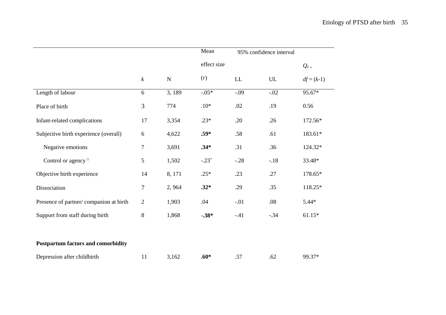|                                        |                  |           | Mean        | 95% confidence interval |        |              |
|----------------------------------------|------------------|-----------|-------------|-------------------------|--------|--------------|
|                                        |                  |           | effect size |                         |        | $Q_e$ ,      |
|                                        | $\boldsymbol{k}$ | ${\bf N}$ | (r)         | ${\rm LL}$              | UL     | $df = (k-1)$ |
| Length of labour                       | 6                | 3,189     | $-0.05*$    | $-.09$                  | $-.02$ | 95.67*       |
| Place of birth                         | 3                | 774       | $.10*$      | .02                     | .19    | 0.56         |
| Infant-related complications           | 17               | 3,354     | $.23*$      | .20                     | .26    | 172.56*      |
| Subjective birth experience (overall)  | 6                | 4,622     | $.59*$      | .58                     | .61    | 183.61*      |
| Negative emotions                      | 7                | 3,691     | $.34*$      | .31                     | .36    | 124.32*      |
| Control or agency $1$                  | 5                | 1,502     | $-.23*$     | $-.28$                  | $-.18$ | 33.48*       |
| Objective birth experience             | 14               | 8, 171    | $.25*$      | .23                     | .27    | 178.65*      |
| Dissociation                           | 7                | 2,964     | $.32*$      | .29                     | .35    | 118.25*      |
| Presence of partner/companion at birth | $\overline{2}$   | 1,903     | .04         | $-.01$                  | .08    | $5.44*$      |
| Support from staff during birth        | 8                | 1,868     | $-.38*$     | $-.41$                  | $-.34$ | $61.15*$     |
|                                        |                  |           |             |                         |        |              |
| Postpartum factors and comorbidity     |                  |           |             |                         |        |              |
| Depression after childbirth            | 11               | 3,162     | $.60*$      | .57                     | .62    | 99.37*       |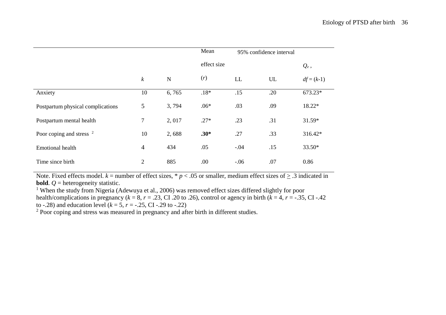|                                     |                  |           | Mean        | 95% confidence interval |     |              |
|-------------------------------------|------------------|-----------|-------------|-------------------------|-----|--------------|
|                                     |                  |           | effect size |                         |     | $Q_e$ ,      |
|                                     | $\boldsymbol{k}$ | ${\bf N}$ | (r)         | LL                      | UL  | $df = (k-1)$ |
| Anxiety                             | 10               | 6,765     | $.18*$      | .15                     | .20 | 673.23*      |
| Postpartum physical complications   | 5                | 3,794     | $.06*$      | .03                     | .09 | 18.22*       |
| Postpartum mental health            | $\overline{7}$   | 2,017     | $.27*$      | .23                     | .31 | 31.59*       |
| Poor coping and stress <sup>2</sup> | 10               | 2,688     | $.30*$      | .27                     | .33 | 316.42*      |
| <b>Emotional health</b>             | $\overline{4}$   | 434       | .05         | $-.04$                  | .15 | $33.50*$     |
| Time since birth                    | $\overline{2}$   | 885       | .00         | $-.06$                  | .07 | 0.86         |

Note. Fixed effects model.  $k$  = number of effect sizes, \*  $p$  < .05 or smaller, medium effect sizes of  $\geq$  .3 indicated in **bold**.  $Q$  = heterogeneity statistic.

<sup>1</sup> When the study from Nigeria (Adewuya et al., 2006) was removed effect sizes differed slightly for poor health/complications in pregnancy ( $k = 8$ ,  $r = .23$ , CI .20 to .26), control or agency in birth ( $k = 4$ ,  $r = -.35$ , CI -.42 to -.28) and education level  $(k = 5, r = -.25, CI - .29$  to -.22)

<sup>2</sup> Poor coping and stress was measured in pregnancy and after birth in different studies.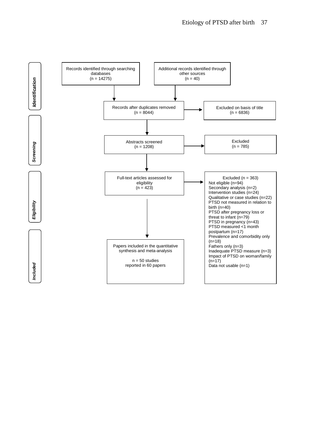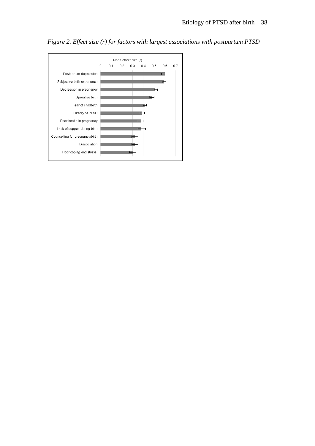

*Figure 2. Effect size (r) for factors with largest associations with postpartum PTSD*